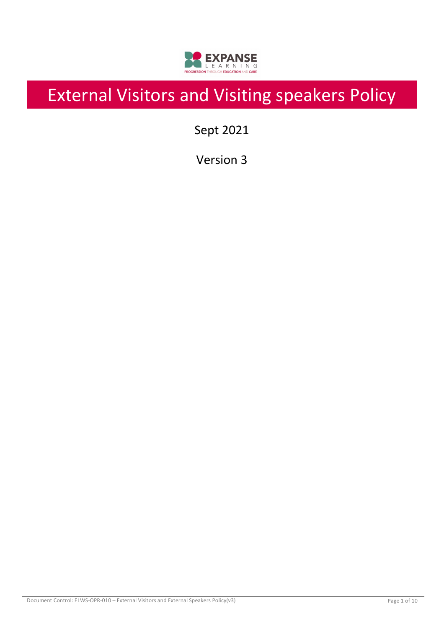

# External Visitors and Visiting speakers Policy

Sept 2021

Version 3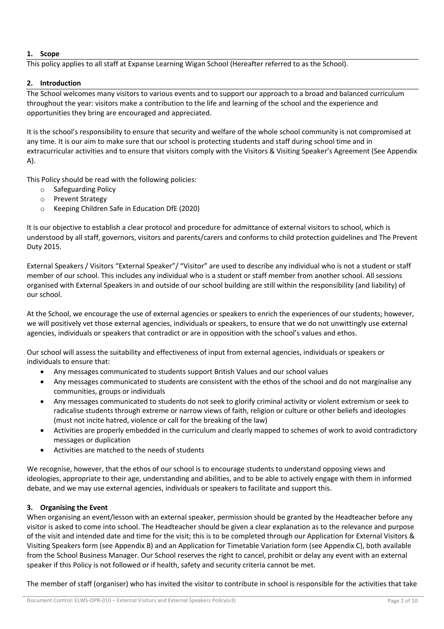### **1. Scope**

This policy applies to all staff at Expanse Learning Wigan School (Hereafter referred to as the School).

### **2. Introduction**

The School welcomes many visitors to various events and to support our approach to a broad and balanced curriculum throughout the year: visitors make a contribution to the life and learning of the school and the experience and opportunities they bring are encouraged and appreciated.

It is the school's responsibility to ensure that security and welfare of the whole school community is not compromised at any time. It is our aim to make sure that our school is protecting students and staff during school time and in extracurricular activities and to ensure that visitors comply with the Visitors & Visiting Speaker's Agreement (See Appendix A).

This Policy should be read with the following policies:

- o Safeguarding Policy
- o Prevent Strategy
- o Keeping Children Safe in Education DfE (2020)

It is our objective to establish a clear protocol and procedure for admittance of external visitors to school, which is understood by all staff, governors, visitors and parents/carers and conforms to child protection guidelines and The Prevent Duty 2015.

External Speakers / Visitors "External Speaker"/ "Visitor" are used to describe any individual who is not a student or staff member of our school. This includes any individual who is a student or staff member from another school. All sessions organised with External Speakers in and outside of our school building are still within the responsibility (and liability) of our school.

At the School, we encourage the use of external agencies or speakers to enrich the experiences of our students; however, we will positively vet those external agencies, individuals or speakers, to ensure that we do not unwittingly use external agencies, individuals or speakers that contradict or are in opposition with the school's values and ethos.

Our school will assess the suitability and effectiveness of input from external agencies, individuals or speakers or individuals to ensure that:

- Any messages communicated to students support British Values and our school values
- Any messages communicated to students are consistent with the ethos of the school and do not marginalise any communities, groups or individuals
- Any messages communicated to students do not seek to glorify criminal activity or violent extremism or seek to radicalise students through extreme or narrow views of faith, religion or culture or other beliefs and ideologies (must not incite hatred, violence or call for the breaking of the law)
- Activities are properly embedded in the curriculum and clearly mapped to schemes of work to avoid contradictory messages or duplication
- Activities are matched to the needs of students

We recognise, however, that the ethos of our school is to encourage students to understand opposing views and ideologies, appropriate to their age, understanding and abilities, and to be able to actively engage with them in informed debate, and we may use external agencies, individuals or speakers to facilitate and support this.

#### **3. Organising the Event**

When organising an event/lesson with an external speaker, permission should be granted by the Headteacher before any visitor is asked to come into school. The Headteacher should be given a clear explanation as to the relevance and purpose of the visit and intended date and time for the visit; this is to be completed through our Application for External Visitors & Visiting Speakers form (see Appendix B) and an Application for Timetable Variation form (see Appendix C), both available from the School Business Manager. Our School reserves the right to cancel, prohibit or delay any event with an external speaker if this Policy is not followed or if health, safety and security criteria cannot be met.

The member of staff (organiser) who has invited the visitor to contribute in school is responsible for the activities that take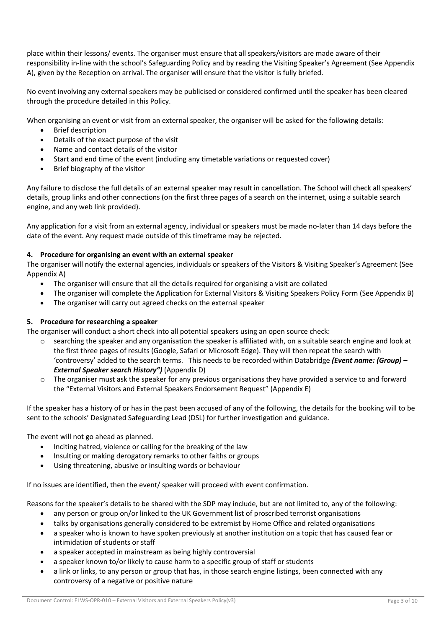place within their lessons/ events. The organiser must ensure that all speakers/visitors are made aware of their responsibility in-line with the school's Safeguarding Policy and by reading the Visiting Speaker's Agreement (See Appendix A), given by the Reception on arrival. The organiser will ensure that the visitor is fully briefed.

No event involving any external speakers may be publicised or considered confirmed until the speaker has been cleared through the procedure detailed in this Policy.

When organising an event or visit from an external speaker, the organiser will be asked for the following details:

- Brief description
- Details of the exact purpose of the visit
- Name and contact details of the visitor
- Start and end time of the event (including any timetable variations or requested cover)
- Brief biography of the visitor

Any failure to disclose the full details of an external speaker may result in cancellation. The School will check all speakers' details, group links and other connections (on the first three pages of a search on the internet, using a suitable search engine, and any web link provided).

Any application for a visit from an external agency, individual or speakers must be made no-later than 14 days before the date of the event. Any request made outside of this timeframe may be rejected.

#### **4. Procedure for organising an event with an external speaker**

The organiser will notify the external agencies, individuals or speakers of the Visitors & Visiting Speaker's Agreement (See Appendix A)

- The organiser will ensure that all the details required for organising a visit are collated
- The organiser will complete the Application for External Visitors & Visiting Speakers Policy Form (See Appendix B)
- The organiser will carry out agreed checks on the external speaker

#### **5. Procedure for researching a speaker**

The organiser will conduct a short check into all potential speakers using an open source check:

- searching the speaker and any organisation the speaker is affiliated with, on a suitable search engine and look at the first three pages of results (Google, Safari or Microsoft Edge). They will then repeat the search with 'controversy' added to the search terms. This needs to be recorded within Databridge *(Event name: (Group) – External Speaker search History")* (Appendix D)
- o The organiser must ask the speaker for any previous organisations they have provided a service to and forward the "External Visitors and External Speakers Endorsement Request" (Appendix E)

If the speaker has a history of or has in the past been accused of any of the following, the details for the booking will to be sent to the schools' Designated Safeguarding Lead (DSL) for further investigation and guidance.

The event will not go ahead as planned.

- Inciting hatred, violence or calling for the breaking of the law
- Insulting or making derogatory remarks to other faiths or groups
- Using threatening, abusive or insulting words or behaviour

If no issues are identified, then the event/ speaker will proceed with event confirmation.

Reasons for the speaker's details to be shared with the SDP may include, but are not limited to, any of the following:

- any person or group on/or linked to the UK Government list of proscribed terrorist organisations
- talks by organisations generally considered to be extremist by Home Office and related organisations
- a speaker who is known to have spoken previously at another institution on a topic that has caused fear or intimidation of students or staff
- a speaker accepted in mainstream as being highly controversial
- a speaker known to/or likely to cause harm to a specific group of staff or students
- a link or links, to any person or group that has, in those search engine listings, been connected with any controversy of a negative or positive nature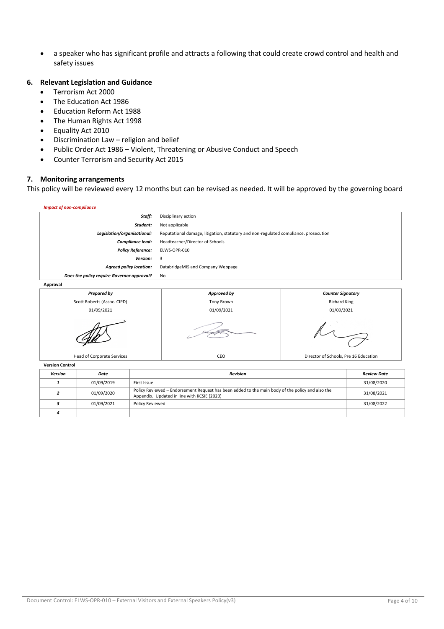• a speaker who has significant profile and attracts a following that could create crowd control and health and safety issues

#### **6. Relevant Legislation and Guidance**

- Terrorism Act 2000
- The Education Act 1986
- Education Reform Act 1988
- The Human Rights Act 1998
- Equality Act 2010
- Discrimination Law religion and belief
- Public Order Act 1986 Violent, Threatening or Abusive Conduct and Speech
- Counter Terrorism and Security Act 2015

#### **7. Monitoring arrangements**

This policy will be reviewed every 12 months but can be revised as needed. It will be approved by the governing board

| <b>Impact of non-compliance</b>            |                                                                                      |
|--------------------------------------------|--------------------------------------------------------------------------------------|
| Staff:                                     | Disciplinary action                                                                  |
| Student:                                   | Not applicable                                                                       |
| Legislation/organisational:                | Reputational damage, litigation, statutory and non-regulated compliance. prosecution |
| <b>Compliance lead:</b>                    | Headteacher/Director of Schools                                                      |
| <b>Policy Reference:</b>                   | ELWS-OPR-010                                                                         |
| <b>Version:</b>                            | 3                                                                                    |
| <b>Agreed policy location:</b>             | DatabridgeMIS and Company Webpage                                                    |
| Does the policy require Governor approval? | No                                                                                   |
| Approval                                   |                                                                                      |
|                                            |                                                                                      |



| <b>Version</b> | Date       | <b>Revision</b>                                                                                                                                 | <b>Review Date</b> |
|----------------|------------|-------------------------------------------------------------------------------------------------------------------------------------------------|--------------------|
|                | 01/09/2019 | First Issue                                                                                                                                     | 31/08/2020         |
|                | 01/09/2020 | Policy Reviewed – Endorsement Request has been added to the main body of the policy and also the<br>Appendix. Updated in line with KCSIE (2020) | 31/08/2021         |
|                | 01/09/2021 | <b>Policy Reviewed</b>                                                                                                                          | 31/08/2022         |
|                |            |                                                                                                                                                 |                    |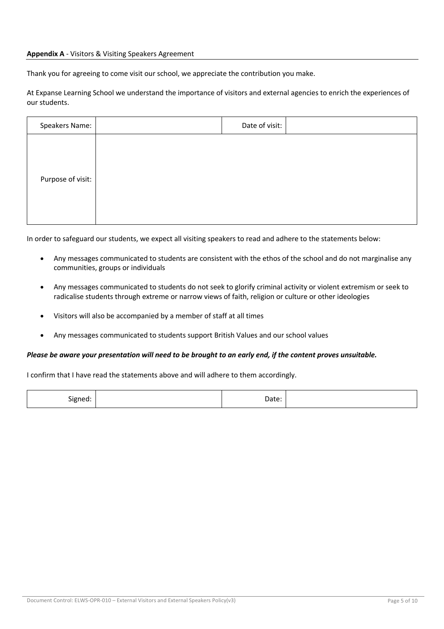#### **Appendix A** - Visitors & Visiting Speakers Agreement

Thank you for agreeing to come visit our school, we appreciate the contribution you make.

At Expanse Learning School we understand the importance of visitors and external agencies to enrich the experiences of our students.

In order to safeguard our students, we expect all visiting speakers to read and adhere to the statements below:

- Any messages communicated to students are consistent with the ethos of the school and do not marginalise any communities, groups or individuals
- Any messages communicated to students do not seek to glorify criminal activity or violent extremism or seek to radicalise students through extreme or narrow views of faith, religion or culture or other ideologies
- Visitors will also be accompanied by a member of staff at all times
- Any messages communicated to students support British Values and our school values

#### *Please be aware your presentation will need to be brought to an early end, if the content proves unsuitable.*

I confirm that I have read the statements above and will adhere to them accordingly.

| $\sim$<br>signed<br>- 1<br>$\cdot$<br>-<br>__ | Date: |  |
|-----------------------------------------------|-------|--|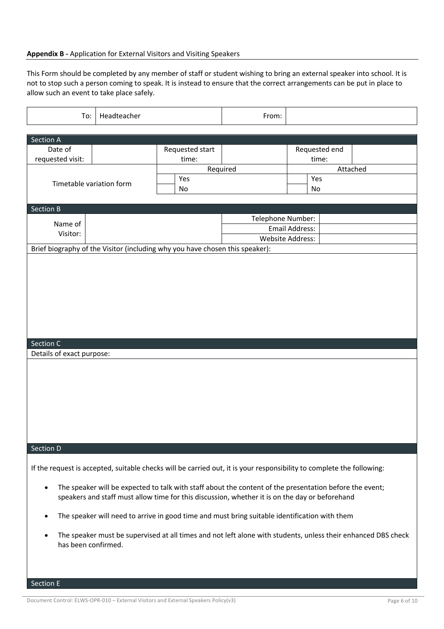#### **Appendix B -** Application for External Visitors and Visiting Speakers

This Form should be completed by any member of staff or student wishing to bring an external speaker into school. It is not to stop such a person coming to speak. It is instead to ensure that the correct arrangements can be put in place to allow such an event to take place safely.

| To:                                                                          | Headteacher |                          | From:                                                                                                                                                                                                     |                                           |          |
|------------------------------------------------------------------------------|-------------|--------------------------|-----------------------------------------------------------------------------------------------------------------------------------------------------------------------------------------------------------|-------------------------------------------|----------|
| Section A                                                                    |             |                          |                                                                                                                                                                                                           |                                           |          |
| Date of<br>requested visit:                                                  |             | Requested start<br>time: |                                                                                                                                                                                                           | Requested end<br>time:                    |          |
| Timetable variation form                                                     |             | Yes<br>No                | Required                                                                                                                                                                                                  | Yes<br>No                                 | Attached |
| Section B                                                                    |             |                          |                                                                                                                                                                                                           |                                           |          |
| Name of<br>Visitor:                                                          |             |                          | Telephone Number:                                                                                                                                                                                         | Email Address:<br><b>Website Address:</b> |          |
| Brief biography of the Visitor (including why you have chosen this speaker): |             |                          |                                                                                                                                                                                                           |                                           |          |
|                                                                              |             |                          |                                                                                                                                                                                                           |                                           |          |
| Section C                                                                    |             |                          |                                                                                                                                                                                                           |                                           |          |
| Details of exact purpose:<br>Section D                                       |             |                          |                                                                                                                                                                                                           |                                           |          |
|                                                                              |             |                          |                                                                                                                                                                                                           |                                           |          |
|                                                                              |             |                          | If the request is accepted, suitable checks will be carried out, it is your responsibility to complete the following:                                                                                     |                                           |          |
| ٠                                                                            |             |                          | The speaker will be expected to talk with staff about the content of the presentation before the event;<br>speakers and staff must allow time for this discussion, whether it is on the day or beforehand |                                           |          |
| ٠                                                                            |             |                          | The speaker will need to arrive in good time and must bring suitable identification with them                                                                                                             |                                           |          |
| has been confirmed.                                                          |             |                          | The speaker must be supervised at all times and not left alone with students, unless their enhanced DBS check                                                                                             |                                           |          |

Section E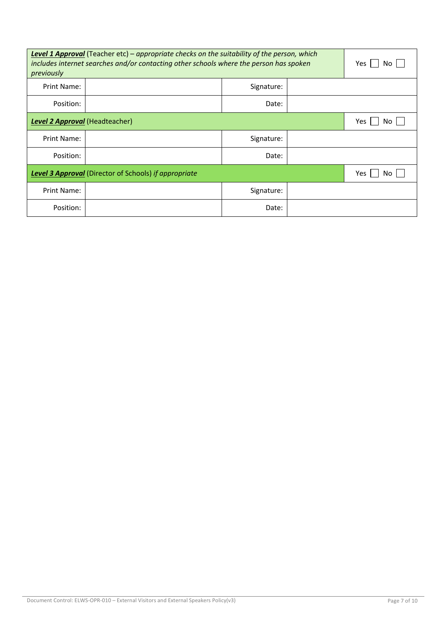| <b>Level 1 Approval</b> (Teacher etc) – appropriate checks on the suitability of the person, which<br>includes internet searches and/or contacting other schools where the person has spoken<br>previously | Yes<br>Nο                      |            |  |  |  |
|------------------------------------------------------------------------------------------------------------------------------------------------------------------------------------------------------------|--------------------------------|------------|--|--|--|
| Print Name:                                                                                                                                                                                                |                                | Signature: |  |  |  |
| Position:                                                                                                                                                                                                  |                                | Date:      |  |  |  |
|                                                                                                                                                                                                            | Level 2 Approval (Headteacher) |            |  |  |  |
| Print Name:                                                                                                                                                                                                |                                |            |  |  |  |
| Position:                                                                                                                                                                                                  |                                |            |  |  |  |
| <b>Level 3 Approval</b> (Director of Schools) if appropriate                                                                                                                                               | Yes<br>Nο                      |            |  |  |  |
| Print Name:                                                                                                                                                                                                |                                |            |  |  |  |
| Position:                                                                                                                                                                                                  |                                | Date:      |  |  |  |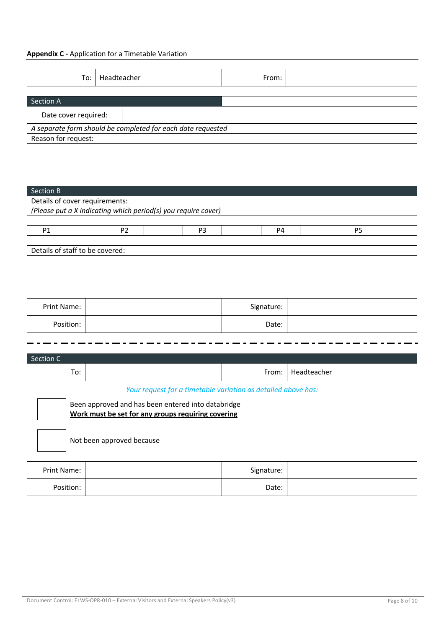## **Appendix C -** Application for a Timetable Variation

| To:                             | Headteacher    |                                                               | From:      |  |                |  |  |  |
|---------------------------------|----------------|---------------------------------------------------------------|------------|--|----------------|--|--|--|
| Section A                       |                |                                                               |            |  |                |  |  |  |
| Date cover required:            |                |                                                               |            |  |                |  |  |  |
|                                 |                | A separate form should be completed for each date requested   |            |  |                |  |  |  |
| Reason for request:             |                |                                                               |            |  |                |  |  |  |
|                                 |                |                                                               |            |  |                |  |  |  |
|                                 |                |                                                               |            |  |                |  |  |  |
|                                 |                |                                                               |            |  |                |  |  |  |
| Section B                       |                |                                                               |            |  |                |  |  |  |
| Details of cover requirements:  |                | (Please put a X indicating which period(s) you require cover) |            |  |                |  |  |  |
|                                 |                |                                                               |            |  |                |  |  |  |
| P1                              | P <sub>2</sub> | P <sub>3</sub>                                                | <b>P4</b>  |  | P <sub>5</sub> |  |  |  |
| Details of staff to be covered: |                |                                                               |            |  |                |  |  |  |
|                                 |                |                                                               |            |  |                |  |  |  |
|                                 |                |                                                               |            |  |                |  |  |  |
|                                 |                |                                                               |            |  |                |  |  |  |
|                                 |                |                                                               |            |  |                |  |  |  |
| Print Name:                     |                |                                                               | Signature: |  |                |  |  |  |
| Position:                       |                |                                                               | Date:      |  |                |  |  |  |

| Section C   |                                                                                                          |  |            |             |  |  |  |
|-------------|----------------------------------------------------------------------------------------------------------|--|------------|-------------|--|--|--|
|             | To:                                                                                                      |  | From:      | Headteacher |  |  |  |
|             | Your request for a timetable variation as detailed above has:                                            |  |            |             |  |  |  |
|             | Been approved and has been entered into databridge<br>Work must be set for any groups requiring covering |  |            |             |  |  |  |
|             | Not been approved because                                                                                |  |            |             |  |  |  |
| Print Name: |                                                                                                          |  | Signature: |             |  |  |  |
| Position:   |                                                                                                          |  | Date:      |             |  |  |  |

 $\blacksquare$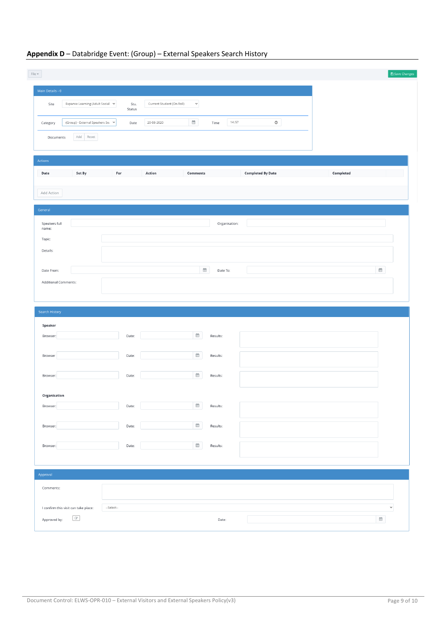| File $\neq$                                |                                                         |                                                                               |                        |                          |           | $\Box$ Save Changes                  |
|--------------------------------------------|---------------------------------------------------------|-------------------------------------------------------------------------------|------------------------|--------------------------|-----------|--------------------------------------|
| Main Details - 0                           |                                                         |                                                                               |                        |                          |           |                                      |
| Site                                       | Expanse Learning (Adult Social $\sim$<br>Stu.<br>Status | Current Student (On Roll)<br>$\checkmark$                                     |                        |                          |           |                                      |
| Category                                   | (Group) - External Speakers Sei →<br>Date               | $\begin{smallmatrix}\text{max} \\ \text{max} \end{smallmatrix}$<br>20-08-2020 | 14:57<br>Time          | $_{\odot}$               |           |                                      |
| Documents                                  | Add Reset                                               |                                                                               |                        |                          |           |                                      |
| Actions                                    |                                                         |                                                                               |                        |                          |           |                                      |
| Set By<br>Date                             | For                                                     | Action<br>Comments                                                            |                        | <b>Completed By Date</b> | Completed |                                      |
| Add Action                                 |                                                         |                                                                               |                        |                          |           |                                      |
| General                                    |                                                         |                                                                               |                        |                          |           |                                      |
| Speakers full<br>name:                     |                                                         |                                                                               | Organisation:          |                          |           |                                      |
| Topic:                                     |                                                         |                                                                               |                        |                          |           |                                      |
| Details:                                   |                                                         |                                                                               |                        |                          |           |                                      |
| Date From:                                 |                                                         |                                                                               | $\boxplus$<br>Date To: |                          |           | $\widehat{\boxplus}$                 |
| Additional Comments:                       |                                                         |                                                                               |                        |                          |           |                                      |
| Search History                             |                                                         |                                                                               |                        |                          |           |                                      |
| Speaker                                    |                                                         |                                                                               |                        |                          |           |                                      |
| Browser:                                   | Date:                                                   | $\widehat{\boxplus}^0$                                                        | Results:               |                          |           |                                      |
| Browser                                    | Date:                                                   | $\widehat{\boxplus}$                                                          | Results:               |                          |           |                                      |
| Browser:                                   | Date:                                                   | $\stackrel{\text{\tiny def}}{=}$                                              | Results:               |                          |           |                                      |
|                                            |                                                         |                                                                               |                        |                          |           |                                      |
| Organisation<br>Browser:                   | Date:                                                   | $\widehat{\boxplus}$                                                          | Results:               |                          |           |                                      |
| Browser:                                   | Date:                                                   | $\widehat{\boxplus}^0$                                                        | Results:               |                          |           |                                      |
|                                            |                                                         | $\widehat{\boxplus}$                                                          |                        |                          |           |                                      |
| Browser:                                   | Date:                                                   |                                                                               | Results:               |                          |           |                                      |
| Approval                                   |                                                         |                                                                               |                        |                          |           |                                      |
| Comments:                                  |                                                         |                                                                               |                        |                          |           |                                      |
| I confirm this visit can take place:       | --Select--                                              |                                                                               |                        |                          |           | $\checkmark$                         |
| $\ensuremath{\mathcal{C}}$<br>Approved by: |                                                         |                                                                               | Date:                  |                          |           | $\mathop{}_{\bigoplus}^{\text{max}}$ |

## **Appendix D** – Databridge Event: (Group) – External Speakers Search History